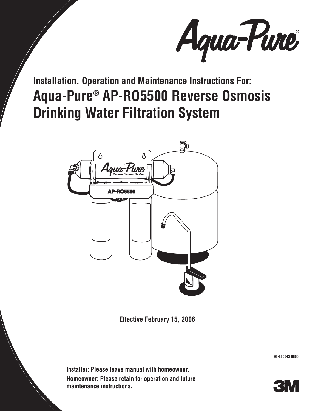

**Installation, Operation and Maintenance Instructions For: Aqua-Pure® AP-RO5500 Reverse Osmosis Drinking Water Filtration System**



**Effective February 15, 2006**

**Installer: Please leave manual with homeowner. Homeowner: Please retain for operation and future maintenance instructions.**

**98-880043 0806**

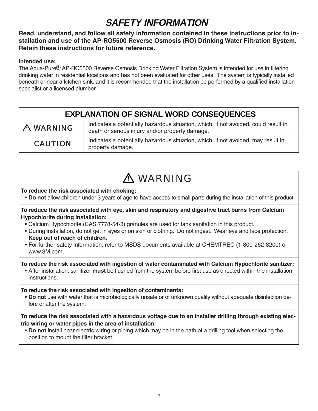# **SAFETY INFORMATION**

**Read, understand, and follow all safety information contained in these instructions prior to installation and use of the AP-RO5500 Reverse Osmosis (RO) Drinking Water Filtration System. Retain these instructions for future reference.**

### **Intended use:**

The Aqua-Pure<sup>®</sup> AP-RO5500 Reverse Osmosis Drinking Water Filtration System is intended for use in filtering drinking water in residential locations and has not been evaluated for other uses. The system is typically installed beneath or near a kitchen sink, and it is recommended that the installation be performed by a qualified installation specialist or a licensed plumber.

| <b>EXPLANATION OF SIGNAL WORD CONSEQUENCES</b> |                                                                                                                                        |  |
|------------------------------------------------|----------------------------------------------------------------------------------------------------------------------------------------|--|
| $\triangle$ WARNING                            | Indicates a potentially hazardous situation, which, if not avoided, could result in<br>death or serious injury and/or property damage. |  |
| <b>CAUTION</b>                                 | Indicates a potentially hazardous situation, which, if not avoided, may result in<br>property damage.                                  |  |

# WARNING

#### **To reduce the risk associated with choking:**

• **Do not** allow children under 3 years of age to have access to small parts during the installation of this product.

**To reduce the risk associated with eye, skin and respiratory and digestive tract burns from Calcium Hypochlorite during installation:**

- Calcium Hypochlorite (CAS 7778-54-3) granules are used for tank sanitation in this product.
- During installation, do not get in eyes or on skin or clothing. Do not ingest. Wear eye and face protection. **Keep out of reach of children.**
- For further safety information, refer to MSDS documents available at CHEMTREC (1-800-262-8200) or www.3M.com.

**To reduce the risk associated with ingestion of water contaminated with Calcium Hypochlorite sanitizer:**

• After installation, sanitizer **must** be flushed from the system before first use as directed within the installation instructions.

### **To reduce the risk associated with ingestion of contaminants:**

 • **Do not** use with water that is microbiologically unsafe or of unknown quality without adequate disinfection before or after the system.

#### **To reduce the risk associated with a hazardous voltage due to an installer drilling through existing electric wiring or water pipes in the area of installation:**

 • **Do not** install near electric wiring or piping which may be in the path of a drilling tool when selecting the position to mount the filter bracket.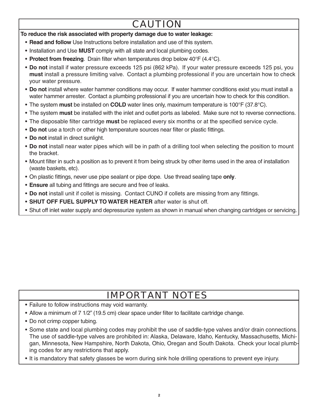# CAUTION

### **To reduce the risk associated with property damage due to water leakage:**

- **Read and follow** Use Instructions before installation and use of this system.
- Installation and Use **MUST** comply with all state and local plumbing codes.
- **Protect from freezing**. Drain filter when temperatures drop below 40°F (4.4°C).
- **Do not** install if water pressure exceeds 125 psi (862 kPa). If your water pressure exceeds 125 psi, you **must** install a pressure limiting valve. Contact a plumbing professional if you are uncertain how to check your water pressure.
- **Do not** install where water hammer conditions may occur. If water hammer conditions exist you must install a water hammer arrester. Contact a plumbing professional if you are uncertain how to check for this condition.
- The system **must** be installed on **COLD** water lines only, maximum temperature is 100°F (37.8°C).
- The system **must** be installed with the inlet and outlet ports as labeled. Make sure not to reverse connections.
- The disposable filter cartridge **must** be replaced every six months or at the specified service cycle.
- **Do not** use a torch or other high temperature sources near filter or plastic fittings.
- **Do not** install in direct sunlight.
- **Do not** install near water pipes which will be in path of a drilling tool when selecting the position to mount the bracket.
- Mount filter in such a position as to prevent it from being struck by other items used in the area of installation (waste baskets, etc).
- On plastic fittings, never use pipe sealant or pipe dope. Use thread sealing tape only.
- **Ensure** all tubing and fittings are secure and free of leaks.
- **Do not** install unit if collet is missing. Contact CUNO if collets are missing from any fittings.
- **SHUT OFF FUEL SUPPLY TO WATER HEATER** after water is shut off.
- Shut off inlet water supply and depressurize system as shown in manual when changing cartridges or servicing.

# IMPORTANT NOTES

- Failure to follow instructions may void warranty.
- Allow a minimum of 7 1/2" (19.5 cm) clear space under filter to facilitate cartridge change.
- Do not crimp copper tubing.
- Some state and local plumbing codes may prohibit the use of saddle-type valves and/or drain connections. The use of saddle-type valves are prohibited in: Alaska, Delaware, Idaho, Kentucky, Massachusetts, Michigan, Minnesota, New Hampshire, North Dakota, Ohio, Oregan and South Dakota. Check your local plumbing codes for any restrictions that apply.

• It is mandatory that safety glasses be worn during sink hole drilling operations to prevent eye injury.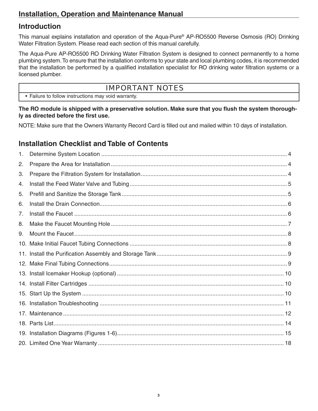# **Introduction**

This manual explains installation and operation of the Aqua-Pure® AP-RO5500 Reverse Osmosis (RO) Drinking Water Filtration System. Please read each section of this manual carefully.

The Aqua-Pure AP-RO5500 RO Drinking Water Filtration System is designed to connect permanently to a home plumbing system. To ensure that the installation conforms to your state and local plumbing codes, it is recommended that the installation be performed by a qualified installation specialist for RO drinking water filtration systems or a licensed plumber.

### IMPORTANT NOTES

• Failure to follow instructions may void warranty.

The RO module is shipped with a preservative solution. Make sure that you flush the system thorough**ly as directed before the first use.** 

NOTE: Make sure that the Owners Warranty Record Card is filled out and mailed within 10 days of installation.

# **Installation Checklist and Table of Contents**

| 1. |  |
|----|--|
| 2. |  |
| 3. |  |
| 4. |  |
| 5. |  |
| 6. |  |
| 7. |  |
| 8. |  |
| 9. |  |
|    |  |
|    |  |
|    |  |
|    |  |
|    |  |
|    |  |
|    |  |
|    |  |
|    |  |
|    |  |
|    |  |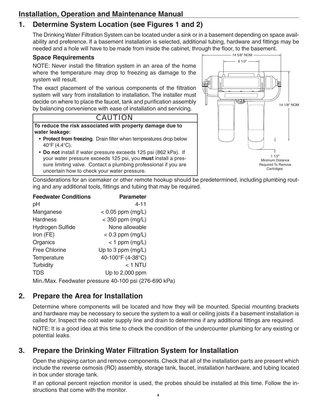# **1. Determine System Location (see Figures 1 and 2)**

The Drinking Water Filtration System can be located under a sink or in a basement depending on space availability and preference. If a basement installation is selected, additional tubing, hardware and fittings may be needed and a hole will have to be made from inside the cabinet, through the floor, to the basement.

### **Space Requirements**

NOTE: Never install the filtration system in an area of the home where the temperature may drop to freezing as damage to the system will result.

The exact placement of the various components of the filtration system will vary from installation to installation. The installer must decide on where to place the faucet, tank and purification assembly by balancing convenience with ease of installation and servicing.



**To reduce the risk associated with property damage due to water leakage:**

- Protect from freezing. Drain filter when temperatures drop below 40°F (4.4°C).
- **Do not** install if water pressure exceeds 125 psi (862 kPa). If your water pressure exceeds 125 psi, you **must** install a pressure limiting valve. Contact a plumbing professional if you are uncertain how to check your water pressure.



Considerations for an icemaker or other remote hookup should be predetermined, including plumbing routing and any additional tools, fittings and tubing that may be required.

| <b>Feedwater Conditions</b>                           | <b>Parameter</b>    |  |  |
|-------------------------------------------------------|---------------------|--|--|
| рH                                                    | $4 - 11$            |  |  |
| Manganese                                             | $< 0.05$ ppm (mg/L) |  |  |
| <b>Hardness</b>                                       | $<$ 350 ppm (mg/L)  |  |  |
| Hydrogen Sulfide                                      | None allowable      |  |  |
| Iron $(FE)$                                           | $< 0.3$ ppm (mg/L)  |  |  |
| Organics                                              | $<$ 1 ppm (mg/L)    |  |  |
| <b>Free Chlorine</b>                                  | Up to 3 ppm (mg/L)  |  |  |
| Temperature                                           | 40-100°F (4-38°C)   |  |  |
| <b>Turbidity</b>                                      | $<$ 1 NTU           |  |  |
| <b>TDS</b>                                            | Up to 2,000 ppm     |  |  |
| Min./Max. Feedwater pressure 40-100 psi (276-690 kPa) |                     |  |  |

# **2. Prepare the Area for Installation**

Determine where components will be located and how they will be mounted. Special mounting brackets and hardware may be necessary to secure the system to a wall or ceiling joists if a basement installation is called for. Inspect the cold water supply line and drain to determine if any additional fittings are required. NOTE: It is a good idea at this time to check the condition of the undercounter plumbing for any existing or potential leaks.

# **3. Prepare the Drinking Water Filtration System for Installation**

Open the shipping carton and remove components. Check that all of the installation parts are present which include the reverse osmosis (RO) assembly, storage tank, faucet, installation hardware, and tubing located in box under storage tank.

If an optional percent rejection monitor is used, the probes should be installed at this time. Follow the instructions that come with the monitor.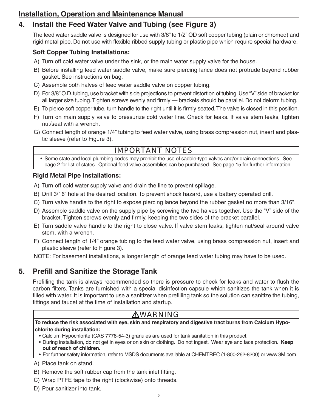# **4. Install the Feed Water Valve and Tubing (see Figure 3)**

The feed water saddle valve is designed for use with 3/8" to 1/2" OD soft copper tubing (plain or chromed) and rigid metal pipe. Do not use with flexible ribbed supply tubing or plastic pipe which require special hardware.

### **Soft Copper Tubing Installations:**

- A) Turn off cold water valve under the sink, or the main water supply valve for the house.
- B) Before installing feed water saddle valve, make sure piercing lance does not protrude beyond rubber gasket. See instructions on bag.
- C) Assemble both halves of feed water saddle valve on copper tubing.
- D) For 3/8" O.D. tubing, use bracket with side projections to prevent distortion of tubing. Use "V" side of bracket for all larger size tubing. Tighten screws evenly and firmly — brackets should be parallel. Do not deform tubing.
- E) To pierce soft copper tube, turn handle to the right until it is firmly seated. The valve is closed in this position.
- F) Turn on main supply valve to pressurize cold water line. Check for leaks. If valve stem leaks, tighten nut/seal with a wrench.
- G) Connect length of orange 1/4" tubing to feed water valve, using brass compression nut, insert and plastic sleeve (refer to Figure 3).

# IMPORTANT NOTES

 • Some state and local plumbing codes may prohibit the use of saddle-type valves and/or drain connections. See page 2 for list of states. Optional feed valve assemblies can be purchased. See page 15 for further information.

### **Rigid Metal Pipe Installations:**

- A) Turn off cold water supply valve and drain the line to prevent spillage.
- B) Drill 3/16" hole at the desired location. To prevent shock hazard, use a battery operated drill.
- C) Turn valve handle to the right to expose piercing lance beyond the rubber gasket no more than 3/16".
- D) Assemble saddle valve on the supply pipe by screwing the two halves together. Use the "V" side of the bracket. Tighten screws evenly and firmly, keeping the two sides of the bracket parallel.
- E) Turn saddle valve handle to the right to close valve. If valve stem leaks, tighten nut/seal around valve stem, with a wrench.
- F) Connect length of 1/4" orange tubing to the feed water valve, using brass compression nut, insert and plastic sleeve (refer to Figure 3).

NOTE: For basement installations, a longer length of orange feed water tubing may have to be used.

# **5. Prefill and Sanitize the Storage Tank**

Prefilling the tank is always recommended so there is pressure to check for leaks and water to flush the carbon filters. Tanks are furnished with a special disinfection capsule which sanitizes the tank when it is filled with water. It is important to use a sanitizer when prefilling tank so the solution can sanitize the tubing, fittings and faucet at the time of installation and startup.

# **AWARNING**

**To reduce the risk associated with eye, skin and respiratory and digestive tract burns from Calcium Hypochlorite during installation:**

- Calcium Hypochlorite (CAS 7778-54-3) granules are used for tank sanitation in this product.
- During installation, do not get in eyes or on skin or clothing. Do not ingest. Wear eye and face protection. **Keep out of reach of children.**
- For further safety information, refer to MSDS documents available at CHEMTREC (1-800-262-8200) or www.3M.com.

A) Place tank on stand.

- B) Remove the soft rubber cap from the tank inlet fitting.
- C) Wrap PTFE tape to the right (clockwise) onto threads.
- D) Pour sanitizer into tank.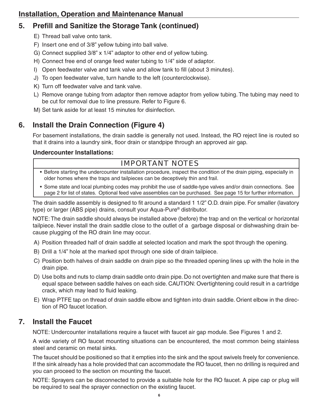# **5.** Prefill and Sanitize the Storage Tank (continued)

- E) Thread ball valve onto tank.
- F) Insert one end of 3/8" yellow tubing into ball valve.
- G) Connect supplied 3/8" x 1/4" adaptor to other end of yellow tubing.
- H) Connect free end of orange feed water tubing to 1/4" side of adaptor.
- I) Open feedwater valve and tank valve and allow tank to fill (about 3 minutes).
- J) To open feedwater valve, turn handle to the left (counterclockwise).
- K) Turn off feedwater valve and tank valve.
- L) Remove orange tubing from adaptor then remove adaptor from yellow tubing. The tubing may need to be cut for removal due to line pressure. Refer to Figure 6.
- M) Set tank aside for at least 15 minutes for disinfection.

# **6. Install the Drain Connection (Figure 4)**

For basement installations, the drain saddle is generally not used. Instead, the RO reject line is routed so that it drains into a laundry sink, floor drain or standpipe through an approved air gap.

### **Undercounter Installations:**

# IMPORTANT NOTES

- Before starting the undercounter installation procedure, inspect the condition of the drain piping, especially in older homes where the traps and tailpieces can be deceptively thin and frail.
- Some state and local plumbing codes may prohibit the use of saddle-type valves and/or drain connections. See page 2 for list of states. Optional feed valve assemblies can be purchased. See page 15 for further information.

The drain saddle assembly is designed to fit around a standard 1 1/2" O.D. drain pipe. For smaller (lavatory type) or larger (ABS pipe) drains, consult your Aqua-Pure® distributor.

NOTE: The drain saddle should always be installed above (before) the trap and on the vertical or horizontal tailpiece. Never install the drain saddle close to the outlet of a garbage disposal or dishwashing drain because plugging of the RO drain line may occur.

- A) Position threaded half of drain saddle at selected location and mark the spot through the opening.
- B) Drill a 1/4" hole at the marked spot through one side of drain tailpiece.
- C) Position both halves of drain saddle on drain pipe so the threaded opening lines up with the hole in the drain pipe.
- D) Use bolts and nuts to clamp drain saddle onto drain pipe. Do not overtighten and make sure that there is equal space between saddle halves on each side. CAUTION: Overtightening could result in a cartridge crack, which may lead to fluid leaking.
- E) Wrap PTFE tap on thread of drain saddle elbow and tighten into drain saddle. Orient elbow in the direction of RO faucet location.

# **7. Install the Faucet**

NOTE: Undercounter installations require a faucet with faucet air gap module. See Figures 1 and 2.

A wide variety of RO faucet mounting situations can be encountered, the most common being stainless steel and ceramic on metal sinks.

The faucet should be positioned so that it empties into the sink and the spout swivels freely for convenience. If the sink already has a hole provided that can accommodate the RO faucet, then no drilling is required and you can proceed to the section on mounting the faucet.

NOTE: Sprayers can be disconnected to provide a suitable hole for the RO faucet. A pipe cap or plug will be required to seal the sprayer connection on the existing faucet.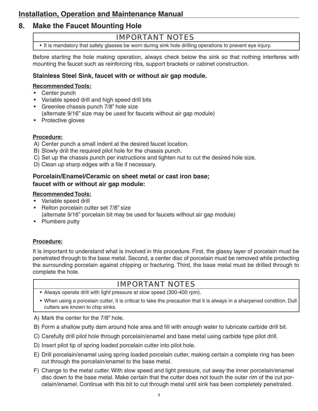# **8. Make the Faucet Mounting Hole**

### IMPORTANT NOTES

• It is mandatory that safety glasses be worn during sink hole drilling operations to prevent eye injury.

Before starting the hole making operation, always check below the sink so that nothing interferes with mounting the faucet such as reinforcing ribs, support brackets or cabinet construction.

### **Stainless Steel Sink, faucet with or without air gap module.**

#### **Recommended Tools:**

- Center punch
- Variable speed drill and high speed drill bits
- Greenlee chassis punch 7/8" hole size (alternate 9/16" size may be used for faucets without air gap module)
- Protective gloves

### **Procedure:**

- A) Center punch a small indent at the desired faucet location.
- B) Slowly drill the required pilot hole for the chassis punch.
- C) Set up the chassis punch per instructions and tighten nut to cut the desired hole size.
- D) Clean up sharp edges with a file if necessary.

### **Porcelain/Enamel/Ceramic on sheet metal or cast iron base; faucet with or without air gap module:**

#### **Recommended Tools:**

- Variable speed drill
- Relton porcelain cutter set 7/8" size (alternate 9/16" porcelain bit may be used for faucets without air gap module)
- Plumbers putty

### **Procedure:**

It is important to understand what is involved in this procedure. First, the glassy layer of porcelain must be penetrated through to the base metal. Second, a center disc of porcelain must be removed while protecting the surrounding porcelain against chipping or fracturing. Third, the base metal must be drilled through to complete the hole.

# IMPORTANT NOTES

- Always operate drill with light pressure at slow speed (300-400 rpm).
- When using a porcelain cutter, it is critical to take the precaution that it is always in a sharpened condition. Dull cutters are known to chip sinks.

A) Mark the center for the 7/8" hole.

- B) Form a shallow putty dam around hole area and fill with enough water to lubricate carbide drill bit.
- C) Carefully drill pilot hole through porcelain/enamel and base metal using carbide type pilot drill.
- D) Insert pilot tip of spring loaded porcelain cutter into pilot hole.
- E) Drill porcelain/enamel using spring loaded porcelain cutter, making certain a complete ring has been cut through the porcelain/enamel to the base metal.
- F) Change to the metal cutter. With slow speed and light pressure, cut away the inner porcelain/enamel disc down to the base metal. Make certain that the cutter does not touch the outer rim of the cut porcelain/enamel. Continue with this bit to cut through metal until sink has been completely penetrated.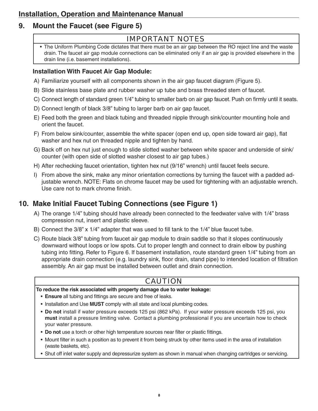# **9. Mount the Faucet (see Figure 5)**

### IMPORTANT NOTES

 • The Uniform Plumbing Code dictates that there must be an air gap between the RO reject line and the waste drain. The faucet air gap module connections can be eliminated only if an air gap is provided elsewhere in the drain line (i.e. basement installations).

### **Installation With Faucet Air Gap Module:**

- A) Familiarize yourself with all components shown in the air gap faucet diagram (Figure 5).
- B) Slide stainless base plate and rubber washer up tube and brass threaded stem of faucet.
- C) Connect length of standard green 1/4" tubing to smaller barb on air gap faucet. Push on firmly until it seats.
- D) Connect length of black 3/8" tubing to larger barb on air gap faucet.
- E) Feed both the green and black tubing and threaded nipple through sink/counter mounting hole and orient the faucet.
- F) From below sink/counter, assemble the white spacer (open end up, open side toward air gap), flat washer and hex nut on threaded nipple and tighten by hand.
- G) Back off on hex nut just enough to slide slotted washer between white spacer and underside of sink/ counter (with open side of slotted washer closest to air gap tubes.)
- H) After rechecking faucet orientation, tighten hex nut (9/16" wrench) until faucet feels secure.
- I) From above the sink, make any minor orientation corrections by turning the faucet with a padded adjustable wrench. NOTE: Flats on chrome faucet may be used for tightening with an adjustable wrench. Use care not to mark chrome finish.

# **10. Make Initial Faucet Tubing Connections (see Figure 1)**

- A) The orange 1/4" tubing should have already been connected to the feedwater valve with 1/4" brass compression nut, insert and plastic sleeve.
- B) Connect the  $3/8$ " x  $1/4$ " adapter that was used to fill tank to the  $1/4$ " blue faucet tube.
- C) Route black 3/8" tubing from faucet air gap module to drain saddle so that it slopes continuously downward without loops or low spots. Cut to proper length and connect to drain elbow by pushing tubing into fitting. Refer to Figure 6. If basement installation, route standard green 1/4" tubing from an appropriate drain connection (e.g. laundry sink, floor drain, stand pipe) to intended location of filtration assembly. An air gap must be installed between outlet and drain connection.

# CAUTION

### **To reduce the risk associated with property damage due to water leakage:**

- **Ensure** all tubing and fittings are secure and free of leaks.
- Installation and Use **MUST** comply with all state and local plumbing codes.
- **Do not** install if water pressure exceeds 125 psi (862 kPa). If your water pressure exceeds 125 psi, you **must** install a pressure limiting valve. Contact a plumbing professional if you are uncertain how to check your water pressure.
- Do not use a torch or other high temperature sources near filter or plastic fittings.
- Mount filter in such a position as to prevent it from being struck by other items used in the area of installation (waste baskets, etc).
- Shut off inlet water supply and depressurize system as shown in manual when changing cartridges or servicing.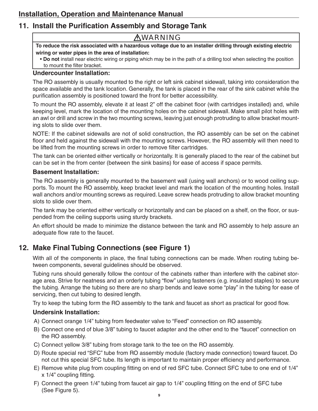# **11. Install the Purification Assembly and Storage Tank**

## **AWARNING**

**To reduce the risk associated with a hazardous voltage due to an installer drilling through existing electric wiring or water pipes in the area of installation:**

 • **Do not** install near electric wiring or piping which may be in the path of a drilling tool when selecting the position to mount the filter bracket.

### **Undercounter Installation:**

The RO assembly is usually mounted to the right or left sink cabinet sidewall, taking into consideration the space available and the tank location. Generally, the tank is placed in the rear of the sink cabinet while the purification assembly is positioned toward the front for better accessibility.

To mount the RO assembly, elevate it at least 2" off the cabinet floor (with cartridges installed) and, while keeping level, mark the location of the mounting holes on the cabinet sidewall. Make small pilot holes with an awl or drill and screw in the two mounting screws, leaving just enough protruding to allow bracket mounting slots to slide over them.

NOTE: If the cabinet sidewalls are not of solid construction, the RO assembly can be set on the cabinet floor and held against the sidewall with the mounting screws. However, the RO assembly will then need to be lifted from the mounting screws in order to remove filter cartridges.

The tank can be oriented either vertically or horizontally. It is generally placed to the rear of the cabinet but can be set in the from center (between the sink basins) for ease of access if space permits.

### **Basement Installation:**

The RO assembly is generally mounted to the basement wall (using wall anchors) or to wood ceiling supports. To mount the RO assembly, keep bracket level and mark the location of the mounting holes. Install wall anchors and/or mounting screws as required. Leave screw heads protruding to allow bracket mounting slots to slide over them.

The tank may be oriented either vertically or horizontally and can be placed on a shelf, on the floor, or suspended from the ceiling supports using sturdy brackets.

An effort should be made to minimize the distance between the tank and RO assembly to help assure an adequate flow rate to the faucet.

# **12. Make Final Tubing Connections (see Figure 1)**

With all of the components in place, the final tubing connections can be made. When routing tubing between components, several guidelines should be observed.

Tubing runs should generally follow the contour of the cabinets rather than interfere with the cabinet storage area. Strive for neatness and an orderly tubing "flow" using fasteners (e.g. insulated staples) to secure the tubing. Arrange the tubing so there are no sharp bends and leave some "play" in the tubing for ease of servicing, then cut tubing to desired length.

Try to keep the tubing form the RO assembly to the tank and faucet as short as practical for good flow.

### **Undersink Installation:**

- A) Connect orange 1/4" tubing from feedwater valve to "Feed" connection on RO assembly.
- B) Connect one end of blue 3/8" tubing to faucet adapter and the other end to the "faucet" connection on the RO assembly.
- C) Connect yellow 3/8" tubing from storage tank to the tee on the RO assembly.
- D) Route special red "SFC" tube from RO assembly module (factory made connection) toward faucet. Do not cut this special SFC tube. Its length is important to maintain proper efficiency and performance.
- E) Remove white plug from coupling fitting on end of red SFC tube. Connect SFC tube to one end of 1/4"  $x$  1/4" coupling fitting.
- F) Connect the green  $1/4$ " tubing from faucet air gap to  $1/4$ " coupling fitting on the end of SFC tube (See Figure 5).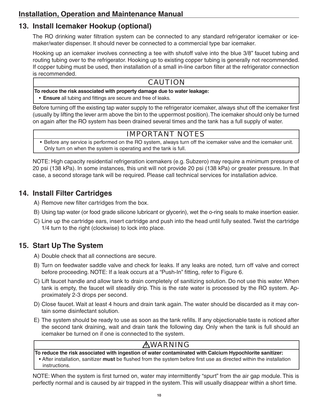# **13. Install Icemaker Hookup (optional)**

The RO drinking water filtration system can be connected to any standard refrigerator icemaker or icemaker/water dispenser. It should never be connected to a commercial type bar icemaker.

Hooking up an icemaker involves connecting a tee with shutoff valve into the blue 3/8" faucet tubing and routing tubing over to the refrigerator. Hooking up to existing copper tubing is generally not recommended. If copper tubing must be used, then installation of a small in-line carbon filter at the refrigerator connection is recommended.

### CAUTION

**To reduce the risk associated with property damage due to water leakage:**

• **Ensure** all tubing and fittings are secure and free of leaks.

Before turning off the existing tap water supply to the refrigerator icemaker, always shut off the icemaker first (usually by lifting the lever arm above the bin to the uppermost position). The icemaker should only be turned on again after the RO system has been drained several times and the tank has a full supply of water.

# IMPORTANT NOTES

 • Before any service is performed on the RO system, always turn off the icemaker valve and the icemaker unit. Only turn on when the system is operating and the tank is full.

NOTE: High capacity residential refrigeration icemakers (e.g. Subzero) may require a minimum pressure of 20 psi (138 kPa). In some instances, this unit will not provide 20 psi (138 kPa) or greater pressure. In that case, a second storage tank will be required. Please call technical services for installation advice.

# **14. Install Filter Cartridges**

A) Remove new filter cartridges from the box.

- B) Using tap water (or food grade silicone lubricant or glycerin), wet the o-ring seals to make insertion easier.
- C) Line up the cartridge ears, insert cartridge and push into the head until fully seated. Twist the cartridge 1/4 turn to the right (clockwise) to lock into place.

# **15. Start Up The System**

A) Double check that all connections are secure.

- B) Turn on feedwater saddle valve and check for leaks. If any leaks are noted, turn off valve and correct before proceeding. NOTE: If a leak occurs at a "Push-In" fitting, refer to Figure 6.
- C) Lift faucet handle and allow tank to drain completely of sanitizing solution. Do not use this water. When tank is empty, the faucet will steadily drip. This is the rate water is processed by the RO system. Approximately 2-3 drops per second.
- D) Close faucet. Wait at least 4 hours and drain tank again. The water should be discarded as it may contain some disinfectant solution.
- E) The system should be ready to use as soon as the tank refills. If any objectionable taste is noticed after the second tank draining, wait and drain tank the following day. Only when the tank is full should an icemaker be turned on if one is connected to the system.

# **AWARNING**

**To reduce the risk associated with ingestion of water contaminated with Calcium Hypochlorite sanitizer:** • After installation, sanitizer must be flushed from the system before first use as directed within the installation instructions.

NOTE: When the system is first turned on, water may intermittently "spurt" from the air gap module. This is perfectly normal and is caused by air trapped in the system. This will usually disappear within a short time.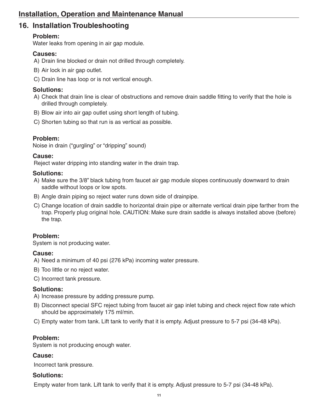# **16. Installation Troubleshooting**

### **Problem:**

Water leaks from opening in air gap module.

### **Causes:**

- A) Drain line blocked or drain not drilled through completely.
- B) Air lock in air gap outlet.
- C) Drain line has loop or is not vertical enough.

### **Solutions:**

- A) Check that drain line is clear of obstructions and remove drain saddle fitting to verify that the hole is drilled through completely.
- B) Blow air into air gap outlet using short length of tubing.
- C) Shorten tubing so that run is as vertical as possible.

### **Problem:**

Noise in drain ("gurgling" or "dripping" sound)

### **Cause:**

Reject water dripping into standing water in the drain trap.

### **Solutions:**

- A) Make sure the 3/8" black tubing from faucet air gap module slopes continuously downward to drain saddle without loops or low spots.
- B) Angle drain piping so reject water runs down side of drainpipe.
- C) Change location of drain saddle to horizontal drain pipe or alternate vertical drain pipe farther from the trap. Properly plug original hole. CAUTION: Make sure drain saddle is always installed above (before) the trap.

### **Problem:**

System is not producing water.

### **Cause:**

A) Need a minimum of 40 psi (276 kPa) incoming water pressure.

B) Too little or no reject water.

C) Incorrect tank pressure.

### **Solutions:**

- A) Increase pressure by adding pressure pump.
- B) Disconnect special SFC reject tubing from faucet air gap inlet tubing and check reject flow rate which should be approximately 175 ml/min.
- C) Empty water from tank. Lift tank to verify that it is empty. Adjust pressure to 5-7 psi (34-48 kPa).

### **Problem:**

System is not producing enough water.

### **Cause:**

Incorrect tank pressure.

### **Solutions:**

Empty water from tank. Lift tank to verify that it is empty. Adjust pressure to 5-7 psi (34-48 kPa).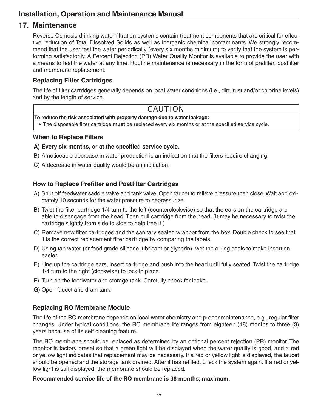### **17. Maintenance**

Reverse Osmosis drinking water filtration systems contain treatment components that are critical for effective reduction of Total Dissolved Solids as well as inorganic chemical contaminants. We strongly recommend that the user test the water periodically (every six months minimum) to verify that the system is performing satisfactorily. A Percent Rejection (PR) Water Quality Monitor is available to provide the user with a means to test the water at any time. Routine maintenance is necessary in the form of prefilter, postfilter and membrane replacement.

### **Replacing Filter Cartridges**

The life of filter cartridges generally depends on local water conditions (i.e., dirt, rust and/or chlorine levels) and by the length of service.

### CAUTION

**To reduce the risk associated with property damage due to water leakage:**

• The disposable filter cartridge **must** be replaced every six months or at the specified service cycle.

#### **When to Replace Filters**

#### A) Every six months, or at the specified service cycle.

- B) A noticeable decrease in water production is an indication that the filters require changing.
- C) A decrease in water quality would be an indication.

### **How to Replace Prefilter and Postfilter Cartridges**

- A) Shut off feedwater saddle valve and tank valve. Open faucet to relieve pressure then close. Wait approximately 10 seconds for the water pressure to depressurize.
- B) Twist the filter cartridge 1/4 turn to the left (counterclockwise) so that the ears on the cartridge are able to disengage from the head. Then pull cartridge from the head. (It may be necessary to twist the cartridge slightly from side to side to help free it.)
- C) Remove new filter cartridges and the sanitary sealed wrapper from the box. Double check to see that it is the correct replacement filter cartridge by comparing the labels.
- D) Using tap water (or food grade silicone lubricant or glycerin), wet the o-ring seals to make insertion easier.
- E) Line up the cartridge ears, insert cartridge and push into the head until fully seated. Twist the cartridge 1/4 turn to the right (clockwise) to lock in place.
- F) Turn on the feedwater and storage tank. Carefully check for leaks.
- G) Open faucet and drain tank.

### **Replacing RO Membrane Module**

The life of the RO membrane depends on local water chemistry and proper maintenance, e.g., regular filter changes. Under typical conditions, the RO membrane life ranges from eighteen (18) months to three (3) years because of its self cleaning feature.

The RO membrane should be replaced as determined by an optional percent rejection (PR) monitor. The monitor is factory preset so that a green light will be displayed when the water quality is good, and a red or yellow light indicates that replacement may be necessary. If a red or yellow light is displayed, the faucet should be opened and the storage tank drained. After it has refilled, check the system again. If a red or yellow light is still displayed, the membrane should be replaced.

#### **Recommended service life of the RO membrane is 36 months, maximum.**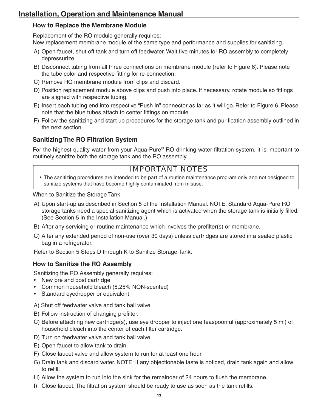### **How to Replace the Membrane Module**

Replacement of the RO module generally requires: New replacement membrane module of the same type and performance and supplies for sanitizing.

- A) Open faucet, shut off tank and turn off feedwater. Wait five minutes for RO assembly to completely depressurize.
- B) Disconnect tubing from all three connections on membrane module (refer to Figure 6). Please note the tube color and respective fitting for re-connection.
- C) Remove RO membrane module from clips and discard.
- D) Position replacement module above clips and push into place. If necessary, rotate module so fittings are aligned with respective tubing.
- E) Insert each tubing end into respective "Push In" connector as far as it will go. Refer to Figure 6. Please note that the blue tubes attach to center fittings on module.
- F) Follow the sanitizing and start up procedures for the storage tank and purification assembly outlined in the next section.

### **Sanitizing The RO Filtration System**

For the highest quality water from your Aqua-Pure® RO drinking water filtration system, it is important to routinely sanitize both the storage tank and the RO assembly.

### IMPORTANT NOTES

 • The sanitizing procedures are intended to be part of a routine maintenance program only and not designed to sanitize systems that have become highly contaminated from misuse.

When to Sanitize the Storage Tank

- A) Upon start-up as described in Section 5 of the Installation Manual. NOTE: Standard Aqua-Pure RO storage tanks need a special sanitizing agent which is activated when the storage tank is initially filled. (See Section 5 in the Installation Manual.)
- B) After any servicing or routine maintenance which involves the prefilter(s) or membrane.
- C) After any extended period of non-use (over 30 days) unless cartridges are stored in a sealed plastic bag in a refrigerator.

Refer to Section 5 Steps D through K to Sanitize Storage Tank.

### **How to Sanitize the RO Assembly**

Sanitizing the RO Assembly generally requires:

- New pre and post cartridge
- Common household bleach (5.25% NON-scented)
- Standard eyedropper or equivalent
- A) Shut off feedwater valve and tank ball valve.
- B) Follow instruction of changing prefilter.
- C) Before attaching new cartridge(s), use eye dropper to inject one teaspoonful (approximately 5 ml) of household bleach into the center of each filter cartridge.
- D) Turn on feedwater valve and tank ball valve.
- E) Open faucet to allow tank to drain.
- F) Close faucet valve and allow system to run for at least one hour.
- G) Drain tank and discard water. NOTE: If any objectionable taste is noticed, drain tank again and allow to refill.
- H) Allow the system to run into the sink for the remainder of 24 hours to flush the membrane.
- I) Close faucet. The filtration system should be ready to use as soon as the tank refills.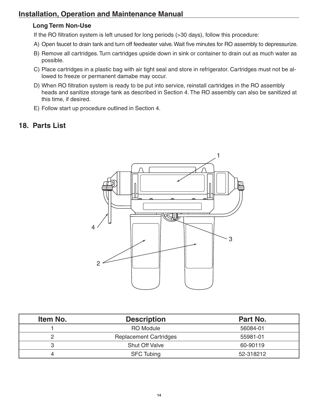### **Long Term Non-Use**

If the RO filtration system is left unused for long periods (>30 days), follow this procedure:

- A) Open faucet to drain tank and turn off feedwater valve. Wait five minutes for RO assembly to depressurize.
- B) Remove all cartridges. Turn cartridges upside down in sink or container to drain out as much water as possible.
- C) Place cartridges in a plastic bag with air tight seal and store in refrigerator. Cartridges must not be allowed to freeze or permanent damabe may occur.
- D) When RO filtration system is ready to be put into service, reinstall cartridges in the RO assembly heads and sanitize storage tank as described in Section 4. The RO assembly can also be sanitized at this time, if desired.
- E) Follow start up procedure outlined in Section 4.

### **18. Parts List**



| Item No. | <b>Description</b>            | Part No.  |
|----------|-------------------------------|-----------|
|          | <b>RO</b> Module              | 56084-01  |
|          | <b>Replacement Cartridges</b> | 55981-01  |
|          | <b>Shut Off Valve</b>         | 60-90119  |
| 4        | <b>SFC Tubing</b>             | 52-318212 |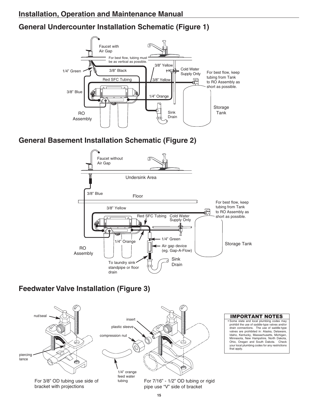# **General Undercounter Installation Schematic (Figure 1)**



# **General Basement Installation Schematic (Figure 2)**



# **Feedwater Valve Installation (Figure 3)**



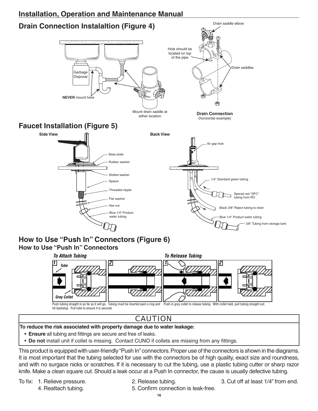



hit backstop. Pull tube to ensure it is secured.

# CAUTION

#### **To reduce the risk associated with property damage due to water leakage:**

- **Ensure** all tubing and fittings are secure and free of leaks.
- **Do not** install unit if collet is missing. Contact CUNO if collets are missing from any fittings.

This product is equipped with user-friendly "Push In" connectors. Proper use of the connectors is shown in the diagrams. It is most important that the tubing selected for use with the connectors be of high quality, exact size and roundness, and with no surgace nicks or scratches. If it is necessary to cut the tubing, use a plastic tubing cutter or sharp razor knife. Make a clean square cut. Should a leak occur at a Push In connector, the cause is usually defective tubing.

4. Reattach tubing. 6. Confirm connection is leak-free.

To fix: 1. Relieve pressure. 2. Release tubing. 3. Cut off at least 1/4" from end.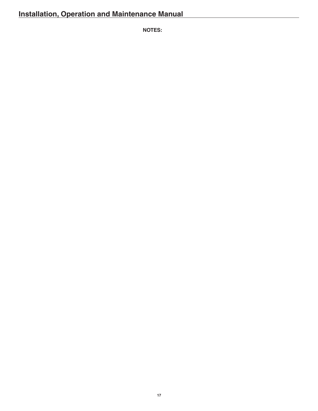**NOTES:**